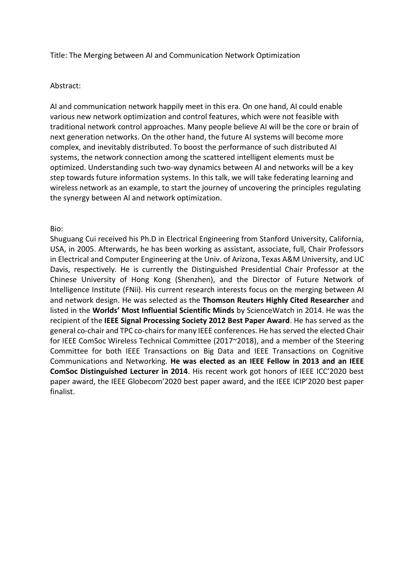Title: The Merging between AI and Communication Network Optimization

## Abstract:

AI and communication network happily meet in this era. On one hand, AI could enable various new network optimization and control features, which were not feasible with traditional network control approaches. Many people believe AI will be the core or brain of next generation networks. On the other hand, the future AI systems will become more complex, and inevitably distributed. To boost the performance of such distributed AI systems, the network connection among the scattered intelligent elements must be optimized. Understanding such two-way dynamics between AI and networks will be a key step towards future information systems. In this talk, we will take federating learning and wireless network as an example, to start the journey of uncovering the principles regulating the synergy between AI and network optimization.

## Bio:

Shuguang Cui received his Ph.D in Electrical Engineering from Stanford University, California, USA, in 2005. Afterwards, he has been working as assistant, associate, full, Chair Professors in Electrical and Computer Engineering at the Univ. of Arizona, Texas A&M University, and UC Davis, respectively. He is currently the Distinguished Presidential Chair Professor at the Chinese University of Hong Kong (Shenzhen), and the Director of Future Network of Intelligence Institute (FNii). His current research interests focus on the merging between AI and network design. He was selected as the **Thomson Reuters Highly Cited Researcher** and listed in the **Worlds' Most Influential Scientific Minds** by ScienceWatch in 2014. He was the recipient of the **IEEE Signal Processing Society 2012 Best Paper Award**. He has served as the general co-chair and TPC co-chairs for many IEEE conferences. He has served the elected Chair for IEEE ComSoc Wireless Technical Committee (2017~2018), and a member of the Steering Committee for both IEEE Transactions on Big Data and IEEE Transactions on Cognitive Communications and Networking. **He was elected as an IEEE Fellow in 2013 and an IEEE ComSoc Distinguished Lecturer in 2014**. His recent work got honors of IEEE ICC'2020 best paper award, the IEEE Globecom'2020 best paper award, and the IEEE ICIP'2020 best paper finalist.